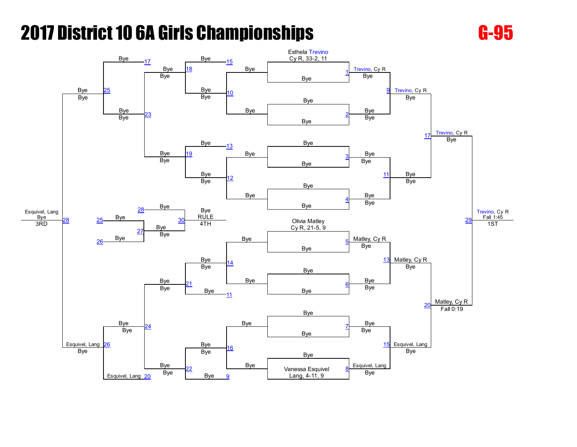

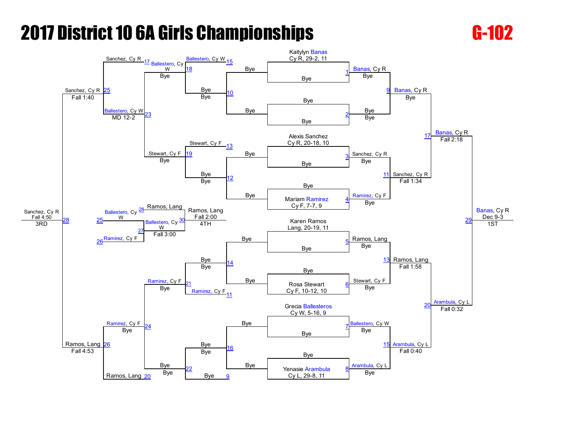

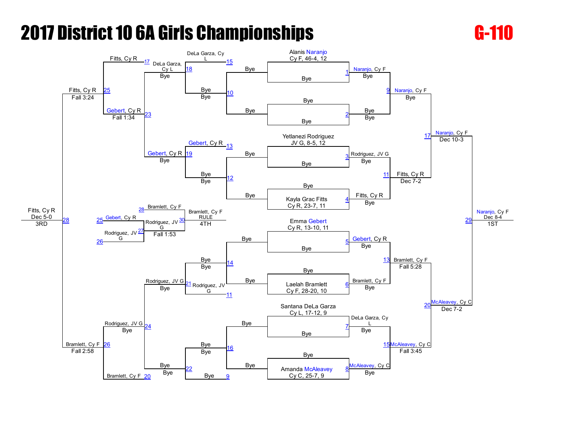

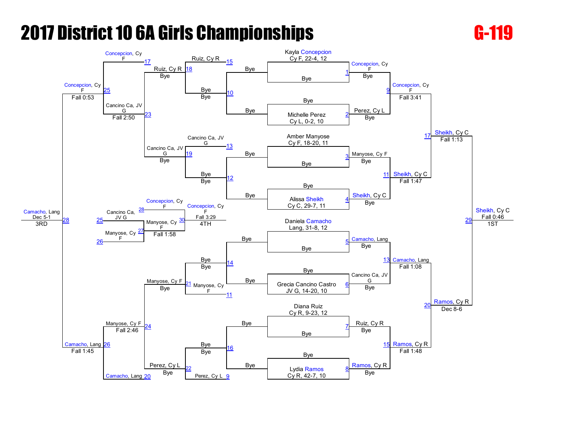

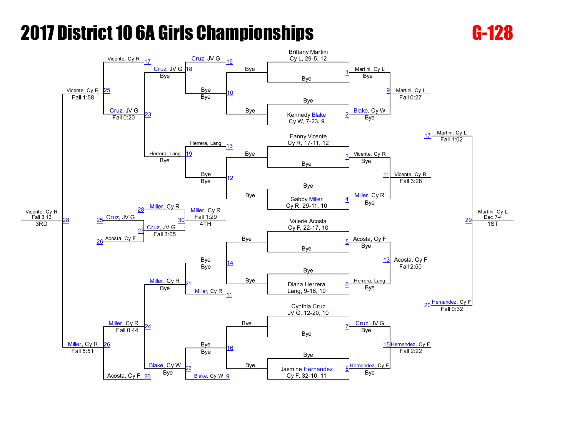

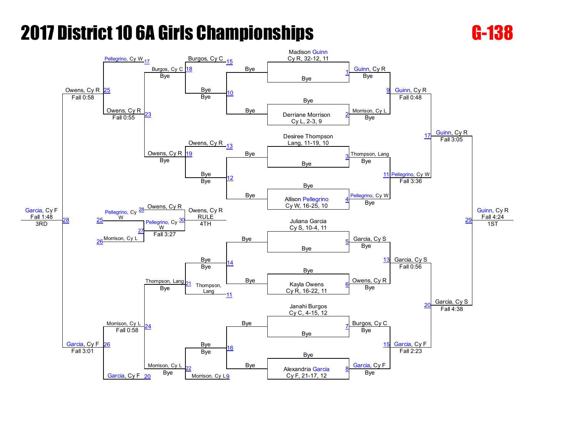

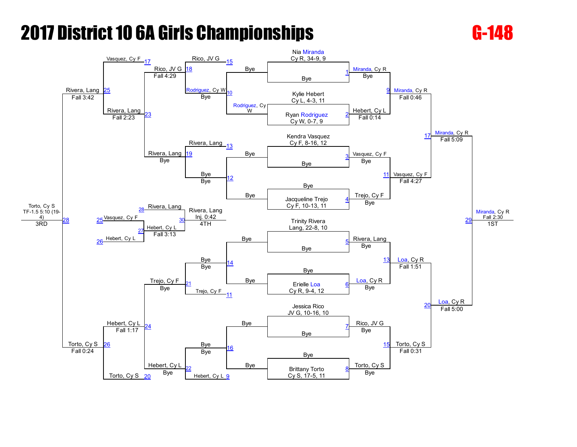

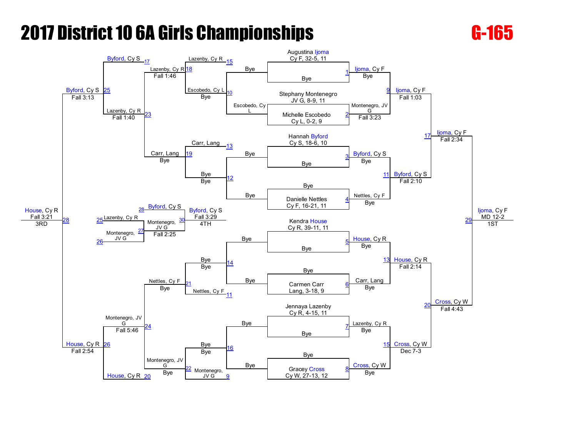

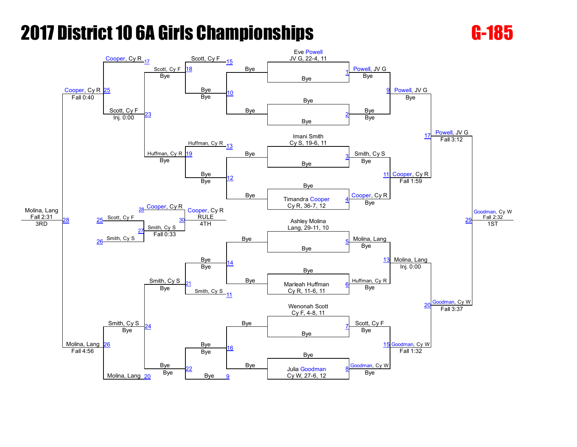

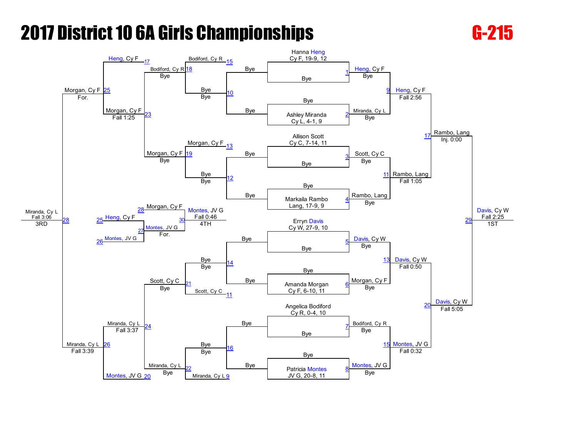

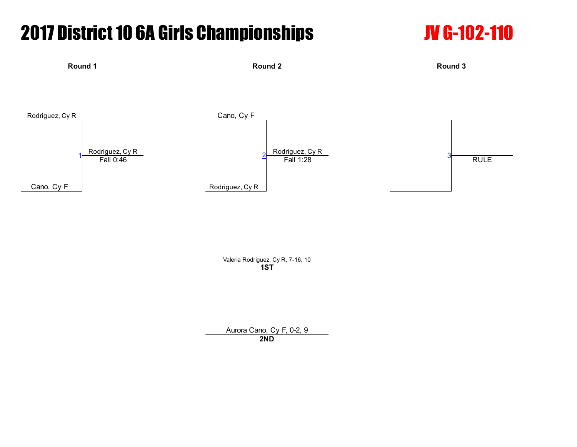



Valeria Rodriguez, Cy R, 7-16, 10 1ST

Aurora Cano, Cy F, 0-2, 9 2ND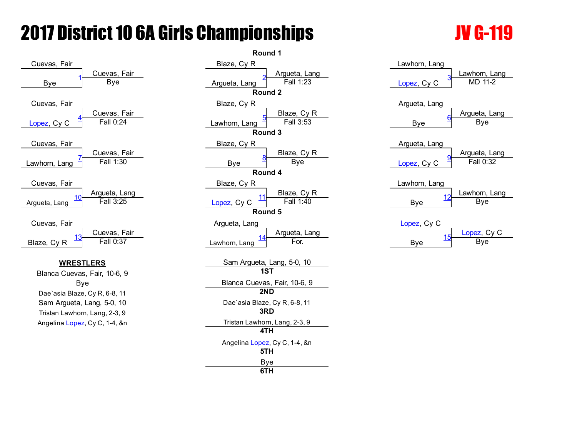

|                                                                                                                                                | Round 1                                                                                                                                                                                                        |                                                            |
|------------------------------------------------------------------------------------------------------------------------------------------------|----------------------------------------------------------------------------------------------------------------------------------------------------------------------------------------------------------------|------------------------------------------------------------|
| Cuevas, Fair<br><b>Bye</b>                                                                                                                     | Blaze, Cy R<br>Argueta, Lang<br>Fall 1:23<br>Argueta, Lang<br>Round 2                                                                                                                                          | Lawhorn, Lang<br>Lawhorn, La<br>MD 11-2<br>Lopez, Cy C     |
| Cuevas, Fair<br>Fall 0:24                                                                                                                      | Blaze, Cy R<br>Blaze, Cy R<br>Fall 3:53<br>Lawhorn, Lang<br>Round 3                                                                                                                                            | Argueta, Lang<br>Argueta, La<br>Bye<br><b>Bye</b>          |
| Cuevas, Fair<br>Fall 1:30                                                                                                                      | Blaze, Cy R<br>Blaze, Cy R<br>Bye<br><b>Bye</b><br>Round 4                                                                                                                                                     | Argueta, Lang<br>Argueta, La<br>Fall $0:32$<br>Lopez, Cy C |
| Argueta, Lang<br>Fall 3:25                                                                                                                     | Blaze, Cy R<br>Blaze, Cy R<br>11<br>Fall 1:40<br>Lopez, Cy C<br>Round 5                                                                                                                                        | Lawhorn, Lang<br>Lawhorn, La<br>12<br>Bye<br><b>Bye</b>    |
| Cuevas, Fair<br>Fall 0:37                                                                                                                      | Argueta, Lang<br>Argueta, Lang<br>For.<br>Lawhorn, Lang                                                                                                                                                        | Lopez, Cy C<br>Lopez, Cy<br>15<br><b>Bye</b><br><b>Bye</b> |
| <u>STLERS</u><br>as, Fair, 10-6, 9<br>Bye<br>ize, Cy R, 6-8, 11<br>a, Lang, 5-0, 10<br>orn, Lang, 2-3, 9<br><mark>ez, Cy C, 1-4, &amp;n</mark> | Sam Argueta, Lang, 5-0, 10<br>1ST<br>Blanca Cuevas, Fair, 10-6, 9<br>2ND<br>Dae'asia Blaze, Cy R, 6-8, 11<br>3RD<br>Tristan Lawhorn, Lang, 2-3, 9<br>4TH<br>Angelina Lopez, Cy C, 1-4, &n<br>5TH<br>Bye<br>6TH |                                                            |

### Lawhorn, Lang Lawhorn, Lang [Lopez,](javascript:viewProfile(2074356009)) Cy C Argueta, Lang Argueta, Lang Bye Argueta, Lang Argueta, Lang [Lopez,](javascript:viewProfile(2074356009)) Cy C Lawhorn, Lang Lawhorn, Lang Bye [Lopez,](javascript:viewProfile(2074356009)) Cy C [Lopez](javascript:viewProfile(2074356009)), Cy C Bye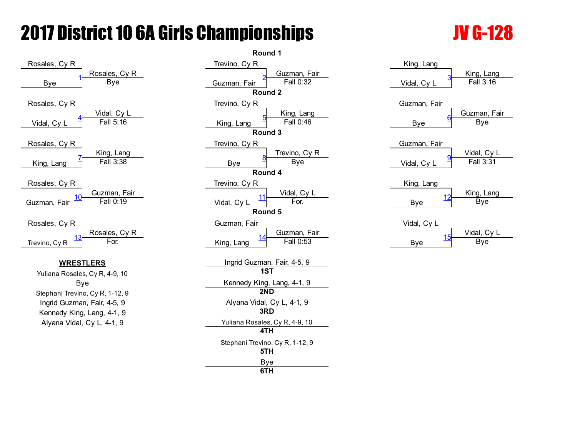



| King, Lang              |                          |
|-------------------------|--------------------------|
| 3<br>Vidal, Cy L        | King, Lang<br>Fall 3:16  |
| Guzman, Fair            |                          |
| 6<br>Bye                | Guzman, Fair<br>Bye      |
| Guzman, Fair            |                          |
| <u>9</u><br>Vidal, Cy L | Vidal, Cy L<br>Fall 3:31 |
| King, Lang              | King, Lang               |
| 12<br>Bye               | Bye                      |
| Vidal, Cy L             |                          |
| <u> 15</u><br>Bye       | Vidal, Cy L<br>Bye       |
|                         |                          |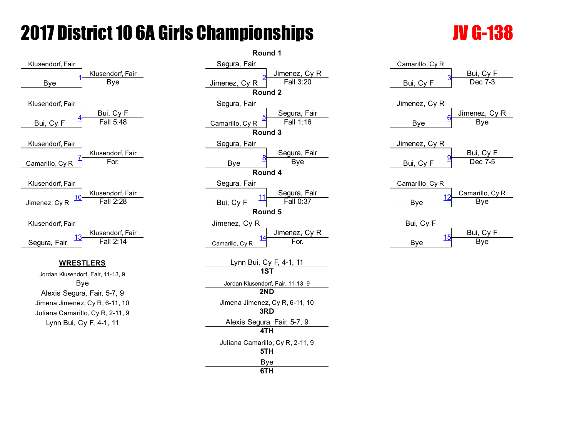# **2017 District 10 6A Girls Championships The Constitution of the UV G-138**



Juliana Camarillo, Cy R, 2-11, 9 Lynn Bui, Cy F,  $4-1$ , 11

|                                                                                                                                  | Round 1                                                                                                                                                                                                                                 |                                                          |
|----------------------------------------------------------------------------------------------------------------------------------|-----------------------------------------------------------------------------------------------------------------------------------------------------------------------------------------------------------------------------------------|----------------------------------------------------------|
| Klusendorf, Fair<br><b>Bye</b>                                                                                                   | Segura, Fair<br>Jimenez, Cy R<br>Fall 3:20<br>Jimenez, Cy R<br>Round 2                                                                                                                                                                  | Camarillo, Cy R<br>Bui, Cy F<br>Dec 7-3<br>Bui, Cy F     |
| Bui, Cy F<br>Fall 5:48                                                                                                           | Segura, Fair<br>Segura, Fair<br>Fall 1:16<br>Camarillo, Cy R<br>Round 3                                                                                                                                                                 | Jimenez, Cy R<br>Jimenez, Cy<br><b>Bye</b><br><b>Bye</b> |
| Klusendorf, Fair<br>For.                                                                                                         | Segura, Fair<br>Segura, Fair<br>Bye<br><b>Bye</b><br>Round 4                                                                                                                                                                            | Jimenez, Cy R<br>Bui, Cy F<br>Dec 7-5<br>Bui, Cy F       |
| Klusendorf, Fair<br>Fall 2:28                                                                                                    | Segura, Fair<br>Segura, Fair<br>Fall 0:37<br>Bui, Cy F<br>Round 5                                                                                                                                                                       | Camarillo, Cy R<br>Camarillo, C<br>Bye<br><b>Bye</b>     |
| Klusendorf, Fair<br>Fall 2:14                                                                                                    | Jimenez, Cy R<br>Jimenez, Cy R<br>For.<br>Camarillo, Cy R                                                                                                                                                                               | Bui, Cy F<br>Bui, Cy F<br>Bye<br><b>Bye</b>              |
| <u>STLERS</u><br>dorf, Fair, 11-13, 9<br>Bye<br>ura, Fair, 5-7, 9<br>ez, Cy R, 6-11, 10<br>rillo, Cy R, 2-11, 9<br>Cy F, 4-1, 11 | <u>Lynn Bui, Cy F, 4-1, 11</u><br><b>1ST</b><br>Jordan Klusendorf, Fair, 11-13, 9<br>2ND<br>Jimena Jimenez, Cy R, 6-11, 10<br>3RD<br>Alexis Segura, Fair, 5-7, 9<br>4TH<br>Juliana Camarillo, Cy R, 2-11, 9<br>5TH<br><b>Bye</b><br>6TH |                                                          |

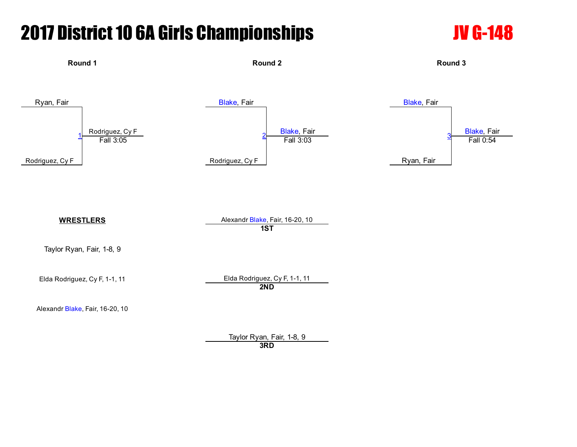# **2017 District 10 6A Girls Championships The Construction Construction Construction Construction Construction C**



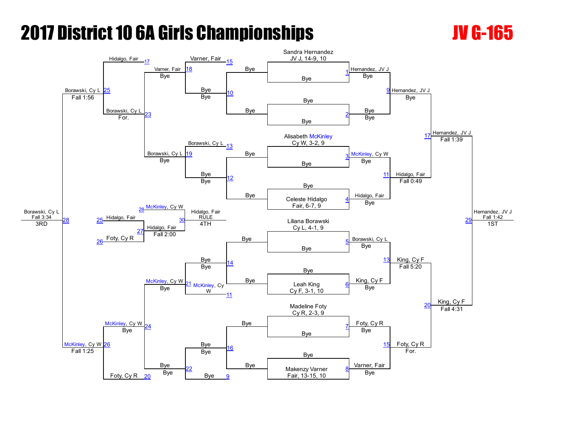